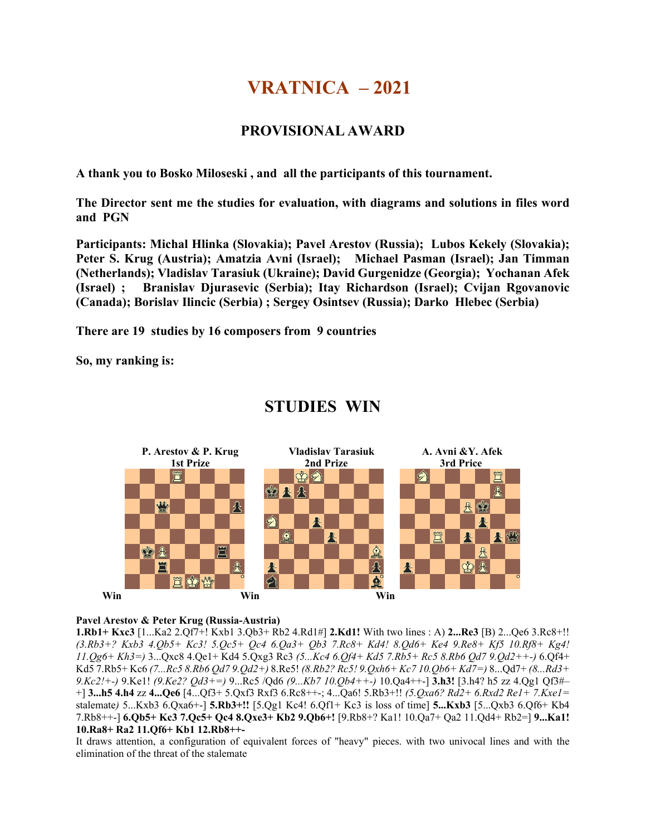# **VRATNICA – 2021**

# **PROVISIONAL AWARD**

**A thank you to Bosko Miloseski , and all the participants of this tournament.**

**The Director sent me the studies for evaluation, with diagrams and solutions in files word and PGN** 

**Participants: Michal Hlinka (Slovakia); Pavel Arestov (Russia); Lubos Kekely (Slovakia); Peter S. Krug (Austria); Amatzia Avni (Israel); Michael Pasman (Israel); Jan Timman (Netherlands); Vladislav Tarasiuk (Ukraine); David Gurgenidze (Georgia); Yochanan Afek (Israel) ; Branislav Djurasevic (Serbia); Itay Richardson (Israel); Cvijan Rgovanovic (Canada); Borislav Ilincic (Serbia) ; Sergey Osintsev (Russia); Darko Hlebec (Serbia)**

**There are 19 studies by 16 composers from 9 countries**

**So, my ranking is:**



# **STUDIES WIN**

## **Pavel Arestov & Peter Krug (Russia-Austria)**

**1.Rb1+ Kxc3** [1...Ka2 2.Qf7+! Kxb1 3.Qb3+ Rb2 4.Rd1#] **2.Kd1!** With two lines : A) **2...Re3** [B) 2...Qe6 3.Rc8+!! *(3.Rb3+? Kxb3 4.Qb5+ Kc3! 5.Qc5+ Qc4 6.Qa3+ Qb3 7.Rc8+ Kd4! 8.Qd6+ Ke4 9.Re8+ Kf5 10.Rf8+ Kg4! 11.Qg6+ Kh3=)* 3...Qxc8 4.Qe1+ Kd4 5.Qxg3 Rc3 *(5...Kc4 6.Qf4+ Kd5 7.Rb5+ Rc5 8.Rb6 Qd7 9.Qd2++-)* 6.Qf4+ Kd5 7.Rb5+ Kc6 *(7...Rc5 8.Rb6 Qd7 9.Qd2+)* 8.Re5! *(8.Rb2? Rc5! 9.Qxh6+ Kc7 10.Qb6+ Kd7=)* 8...Qd7+ *(8...Rd3+ 9.Kc2!+-)* 9.Ke1! *(9.Ke2? Qd3+=)* 9...Rc5 /Qd6 *(9...Kb7 10.Qb4++-)* 10.Qa4++-] **3.h3!** [3.h4? h5 zz 4.Qg1 Qf3#– +] **3...h5 4.h4** zz **4...Qe6** [4...Qf3+ 5.Qxf3 Rxf3 6.Rc8++-; 4...Qa6! 5.Rb3+!! *(5.Qxa6? Rd2+ 6.Rxd2 Re1+ 7.Kxe1=*  stalemate*)* 5...Kxb3 6.Qxa6+-] **5.Rb3+!!** [5.Qg1 Kc4! 6.Qf1+ Kc3 is loss of time] **5...Kxb3** [5...Qxb3 6.Qf6+ Kb4 7.Rb8++-] **6.Qb5+ Kc3 7.Qc5+ Qc4 8.Qxe3+ Kb2 9.Qb6+!** [9.Rb8+? Ka1! 10.Qa7+ Qa2 11.Qd4+ Rb2=] **9...Ka1! 10.Ra8+ Ra2 11.Qf6+ Kb1 12.Rb8++-** 

It draws attention, a configuration of equivalent forces of "heavy" pieces. with two univocal lines and with the elimination of the threat of the stalemate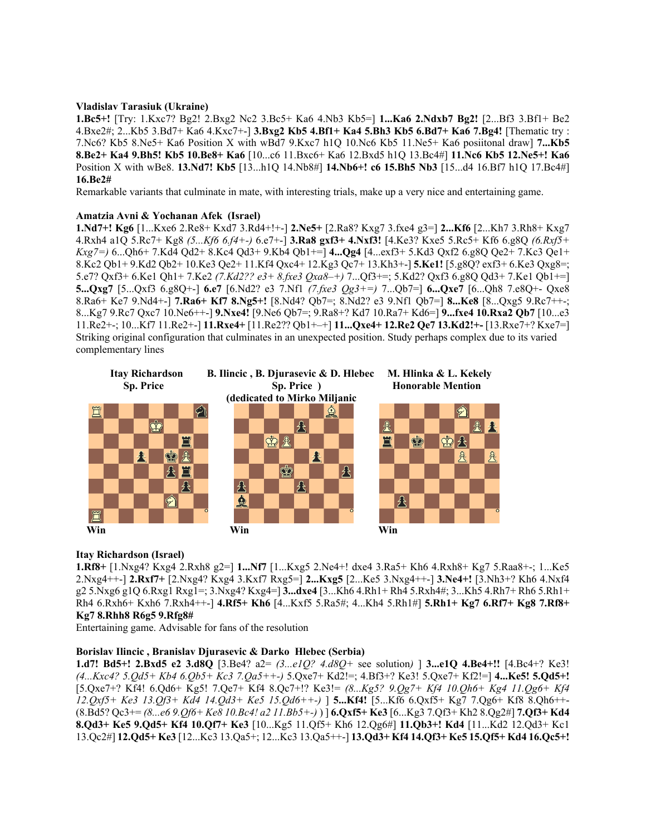### **Vladislav Tarasiuk (Ukraine)**

**1.Bc5+!** [Try: 1.Kxc7? Bg2! 2.Bxg2 Nc2 3.Bc5+ Ka6 4.Nb3 Kb5=] **1...Ka6 2.Ndxb7 Bg2!** [2...Bf3 3.Bf1+ Be2 4.Bxe2#; 2...Kb5 3.Bd7+ Ka6 4.Kxc7+-] **3.Bxg2 Kb5 4.Bf1+ Ka4 5.Bh3 Kb5 6.Bd7+ Ka6 7.Bg4!** [Thematic try : 7.Nc6? Kb5 8.Ne5+ Ka6 Position X with wBd7 9.Kxc7 h1Q 10.Nc6 Kb5 11.Ne5+ Ka6 posiitonal draw] **7...Kb5 8.Be2+ Ka4 9.Bh5! Kb5 10.Be8+ Ka6** [10...c6 11.Bxc6+ Ka6 12.Bxd5 h1Q 13.Bc4#] **11.Nc6 Kb5 12.Ne5+! Ka6**  Position X with wBe8. **13.Nd7! Kb5** [13...h1Q 14.Nb8#] **14.Nb6+! c6 15.Bh5 Nb3** [15...d4 16.Bf7 h1Q 17.Bc4#] **16.Be2#** 

Remarkable variants that culminate in mate, with interesting trials, make up a very nice and entertaining game.

### **Amatzia Avni & Yochanan Afek (Israel)**

**1.Nd7+! Kg6** [1...Kxe6 2.Re8+ Kxd7 3.Rd4+!+-] **2.Ne5+** [2.Ra8? Kxg7 3.fxe4 g3=] **2...Kf6** [2...Kh7 3.Rh8+ Kxg7 4.Rxh4 a1Q 5.Rc7+ Kg8 *(5...Kf6 6.f4+-)* 6.e7+-] **3.Ra8 gxf3+ 4.Nxf3!** [4.Ke3? Kxe5 5.Rc5+ Kf6 6.g8Q *(6.Rxf5+ Kxg7=)* 6...Qh6+ 7.Kd4 Qd2+ 8.Kc4 Qd3+ 9.Kb4 Qb1+=] **4...Qg4** [4...exf3+ 5.Kd3 Qxf2 6.g8Q Qe2+ 7.Kc3 Qe1+ 8.Kc2 Qb1+ 9.Kd2 Qb2+ 10.Ke3 Qe2+ 11.Kf4 Qxc4+ 12.Kg3 Qc7+ 13.Kh3+-] **5.Ke1!** [5.g8Q? exf3+ 6.Ke3 Qxg8=; 5.e7? Qxf3+ 6.Ke1 Qh1+ 7.Ke2 *(7.Kd2?? e3+ 8.fxe3 Qxa8–+)* 7...Qf3+=; 5.Kd2? Qxf3 6.g8Q Qd3+ 7.Ke1 Qb1+=] **5...Qxg7** [5...Qxf3 6.g8Q+-] **6.e7** [6.Nd2? e3 7.Nf1 *(7.fxe3 Qg3+=)* 7...Qb7=] **6...Qxe7** [6...Qh8 7.e8Q+- Qxe8 8.Ra6+ Ke7 9.Nd4+-] **7.Ra6+ Kf7 8.Ng5+!** [8.Nd4? Qb7=; 8.Nd2? e3 9.Nf1 Qb7=] **8...Ke8** [8...Qxg5 9.Rc7++-; 8...Kg7 9.Rc7 Qxc7 10.Ne6++-] **9.Nxe4!** [9.Ne6 Qb7=; 9.Ra8+? Kd7 10.Ra7+ Kd6=] **9...fxe4 10.Rxa2 Qb7** [10...e3 11.Re2+-; 10...Kf7 11.Re2+-] **11.Rxe4+** [11.Re2?? Qb1+–+] **11...Qxe4+ 12.Re2 Qe7 13.Kd2!+-** [13.Rxe7+? Kxe7=] Striking original configuration that culminates in an unexpected position. Study perhaps complex due to its varied complementary lines



## **Itay Richardson (Israel)**

**1.Rf8+** [1.Nxg4? Kxg4 2.Rxh8 g2=] **1...Nf7** [1...Kxg5 2.Ne4+! dxe4 3.Ra5+ Kh6 4.Rxh8+ Kg7 5.Raa8+-; 1...Ke5 2.Nxg4++-] **2.Rxf7+** [2.Nxg4? Kxg4 3.Kxf7 Rxg5=] **2...Kxg5** [2...Ke5 3.Nxg4++-] **3.Ne4+!** [3.Nh3+? Kh6 4.Nxf4 g2 5.Nxg6 g1Q 6.Rxg1 Rxg1=; 3.Nxg4? Kxg4=] **3...dxe4** [3...Kh6 4.Rh1+ Rh4 5.Rxh4#; 3...Kh5 4.Rh7+ Rh6 5.Rh1+ Rh4 6.Rxh6+ Kxh6 7.Rxh4++-] **4.Rf5+ Kh6** [4...Kxf5 5.Ra5#; 4...Kh4 5.Rh1#] **5.Rh1+ Kg7 6.Rf7+ Kg8 7.Rf8+ Kg7 8.Rhh8 R6g5 9.Rfg8#** 

Entertaining game. Advisable for fans of the resolution

### **Borislav Ilincic , Branislav Djurasevic & Darko Hlebec (Serbia)**

**1.d7! Bd5+! 2.Bxd5 e2 3.d8Q** [3.Be4? a2= *(3...e1Q? 4.d8Q+* see solution*)* ] **3...e1Q 4.Be4+!!** [4.Bc4+? Ke3! *(4...Kxc4? 5.Qd5+ Kb4 6.Qb5+ Kc3 7.Qa5++-)* 5.Qxe7+ Kd2!=; 4.Bf3+? Ke3! 5.Qxe7+ Kf2!=] **4...Ke5! 5.Qd5+!**  [5.Qxe7+? Kf4! 6.Qd6+ Kg5! 7.Qe7+ Kf4 8.Qc7+!? Ke3!= *(8...Kg5? 9.Qg7+ Kf4 10.Qh6+ Kg4 11.Qg6+ Kf4 12.Qxf5+ Ke3 13.Qf3+ Kd4 14.Qd3+ Ke5 15.Qd6++-)* ] **5...Kf4!** [5...Kf6 6.Qxf5+ Kg7 7.Qg6+ Kf8 8.Qh6++- (8.Bd5? Qc3+= *(8...e6 9.Qf6+ Ke8 10.Bc4! a2 11.Bb5+-)* ) ] **6.Qxf5+ Ke3** [6...Kg3 7.Qf3+ Kh2 8.Qg2#] **7.Qf3+ Kd4 8.Qd3+ Ke5 9.Qd5+ Kf4 10.Qf7+ Ke3** [10...Kg5 11.Qf5+ Kh6 12.Qg6#] **11.Qb3+! Kd4** [11...Kd2 12.Qd3+ Kc1 13.Qc2#] **12.Qd5+ Ke3** [12...Kc3 13.Qa5+; 12...Kc3 13.Qa5++-] **13.Qd3+ Kf4 14.Qf3+ Ke5 15.Qf5+ Kd4 16.Qc5+!**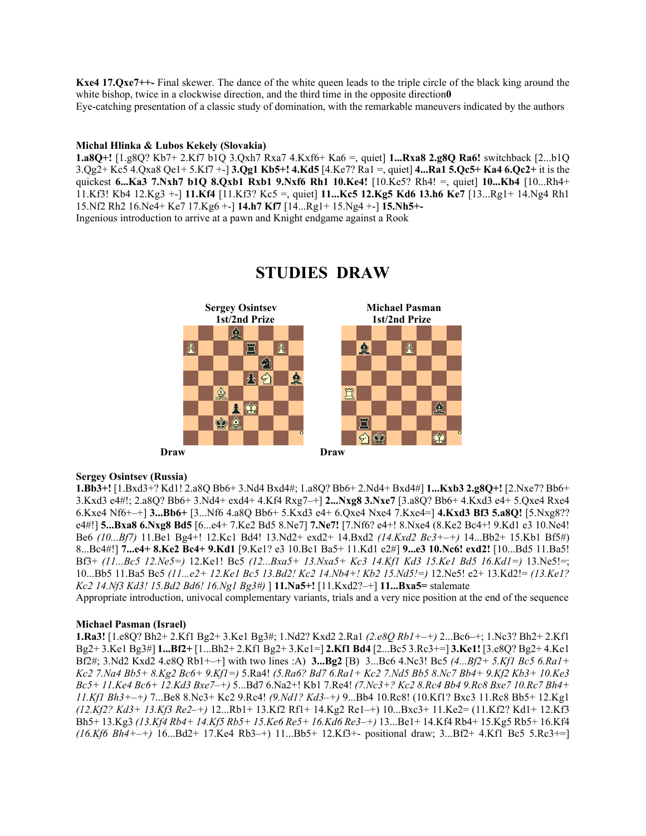**Kxe4 17.Qxe7++-** Final skewer. The dance of the white queen leads to the triple circle of the black king around the white bishop, twice in a clockwise direction, and the third time in the opposite direction<sup>0</sup> Eye-catching presentation of a classic study of domination, with the remarkable maneuvers indicated by the authors

### **Michal Hlinka & Lubos Kekely (Slovakia)**

**1.a8Q+!** [1.g8Q? Kb7+ 2.Kf7 b1Q 3.Qxh7 Rxa7 4.Kxf6+ Ka6 =, quiet] **1...Rxa8 2.g8Q Ra6!** switchback [2...b1Q 3.Qg2+ Kc5 4.Qxa8 Qe1+ 5.Kf7 +-] **3.Qg1 Kb5+! 4.Kd5** [4.Ke7? Ra1 =, quiet] **4...Ra1 5.Qc5+ Ka4 6.Qc2+** it is the quickest **6...Ka3 7.Nxh7 b1Q 8.Qxb1 Rxb1 9.Nxf6 Rh1 10.Ke4!** [10.Ke5? Rh4! =, quiet] **10...Kb4** [10...Rh4+ 11.Kf3! Kb4 12.Kg3 +-] **11.Kf4** [11.Kf3? Kc5 =, quiet] **11...Kc5 12.Kg5 Kd6 13.h6 Ke7** [13...Rg1+ 14.Ng4 Rh1 15.Nf2 Rh2 16.Ne4+ Ke7 17.Kg6 +-] **14.h7 Kf7** [14...Rg1+ 15.Ng4 +-] **15.Nh5+-** 

Ingenious introduction to arrive at a pawn and Knight endgame against a Rook



# **STUDIES DRAW**

### **Sergey Osintsev (Russia)**

**1.Bb3+!** [1.Bxd3+? Kd1! 2.a8Q Bb6+ 3.Nd4 Bxd4#; 1.a8Q? Bb6+ 2.Nd4+ Bxd4#] **1...Kxb3 2.g8Q+!** [2.Nxe7? Bb6+ 3.Kxd3 e4#!; 2.a8Q? Bb6+ 3.Nd4+ exd4+ 4.Kf4 Rxg7–+] **2...Nxg8 3.Nxe7** [3.a8Q? Bb6+ 4.Kxd3 e4+ 5.Qxe4 Rxe4 6.Kxe4 Nf6+–+] **3...Bb6+** [3...Nf6 4.a8Q Bb6+ 5.Kxd3 e4+ 6.Qxe4 Nxe4 7.Kxe4=] **4.Kxd3 Bf3 5.a8Q!** [5.Nxg8?? e4#!] **5...Bxa8 6.Nxg8 Bd5** [6...e4+ 7.Ke2 Bd5 8.Ne7] **7.Ne7!** [7.Nf6? e4+! 8.Nxe4 (8.Ke2 Bc4+! 9.Kd1 e3 10.Ne4! Be6 *(10...Bf7)* 11.Be1 Bg4+! 12.Kc1 Bd4! 13.Nd2+ exd2+ 14.Bxd2 *(14.Kxd2 Bc3+–+)* 14...Bb2+ 15.Kb1 Bf5#) 8...Bc4#!] **7...e4+ 8.Ke2 Bc4+ 9.Kd1** [9.Ke1? e3 10.Bc1 Ba5+ 11.Kd1 e2#] **9...e3 10.Nc6! exd2!** [10...Bd5 11.Ba5! Bf3+ *(11...Bc5 12.Ne5=)* 12.Ke1! Bc5 *(12...Bxa5+ 13.Nxa5+ Kc3 14.Kf1 Kd3 15.Ke1 Bd5 16.Kd1=)* 13.Ne5!=; 10...Bb5 11.Ba5 Bc5 *(11...e2+ 12.Ke1 Bc5 13.Bd2! Kc2 14.Nb4+! Kb2 15.Nd5!=)* 12.Ne5! e2+ 13.Kd2!= *(13.Ke1? Kc2 14.Nf3 Kd3! 15.Bd2 Bd6! 16.Ng1 Bg3#)* ] **11.Na5+!** [11.Kxd2?–+] **11...Bxa5=** stalemate

Appropriate introduction, univocal complementary variants, trials and a very nice position at the end of the sequence

### **Michael Pasman (Israel)**

**1.Ra3!** [1.e8Q? Bh2+ 2.Kf1 Bg2+ 3.Ke1 Bg3#; 1.Nd2? Kxd2 2.Ra1 *(2.e8Q Rb1+–+)* 2...Bc6–+; 1.Nc3? Bh2+ 2.Kf1 Bg2+ 3.Ke1 Bg3#] **1...Bf2+** [1...Bh2+ 2.Kf1 Bg2+ 3.Ke1=] **2.Kf1 Bd4** [2...Bc5 3.Rc3+=] **3.Ke1!** [3.e8Q? Bg2+ 4.Ke1 Bf2#; 3.Nd2 Kxd2 4.e8Q Rb1+–+] with two lines :A) **3...Bg2** [B) 3...Bc6 4.Nc3! Bc5 *(4...Bf2+ 5.Kf1 Bc5 6.Ra1+ Kc2 7.Na4 Bb5+ 8.Kg2 Bc6+ 9.Kf1=)* 5.Ra4! *(5.Ra6? Bd7 6.Ra1+ Kc2 7.Nd5 Bb5 8.Nc7 Bb4+ 9.Kf2 Kb3+ 10.Ke3 Bc5+ 11.Ke4 Bc6+ 12.Kd3 Bxe7–+)* 5...Bd7 6.Na2+! Kb1 7.Re4! *(7.Nc3+? Kc2 8.Rc4 Bb4 9.Rc8 Bxe7 10.Rc7 Bh4+ 11.Kf1 Bh3+–+)* 7...Be8 8.Nc3+ Kc2 9.Rc4! *(9.Nd1? Kd3–+)* 9...Bb4 10.Rc8! (10.Kf1? Bxc3 11.Rc8 Bb5+ 12.Kg1 *(12.Kf2? Kd3+ 13.Kf3 Re2–+)* 12...Rb1+ 13.Kf2 Rf1+ 14.Kg2 Re1–+) 10...Bxc3+ 11.Ke2= (11.Kf2? Kd1+ 12.Kf3 Bh5+ 13.Kg3 *(13.Kf4 Rb4+ 14.Kf5 Rb5+ 15.Ke6 Re5+ 16.Kd6 Re3–+)* 13...Be1+ 14.Kf4 Rb4+ 15.Kg5 Rb5+ 16.Kf4 *(16.Kf6 Bh4+–+)* 16...Bd2+ 17.Ke4 Rb3–+) 11...Bb5+ 12.Kf3+- positional draw; 3...Bf2+ 4.Kf1 Bc5 5.Rc3+=]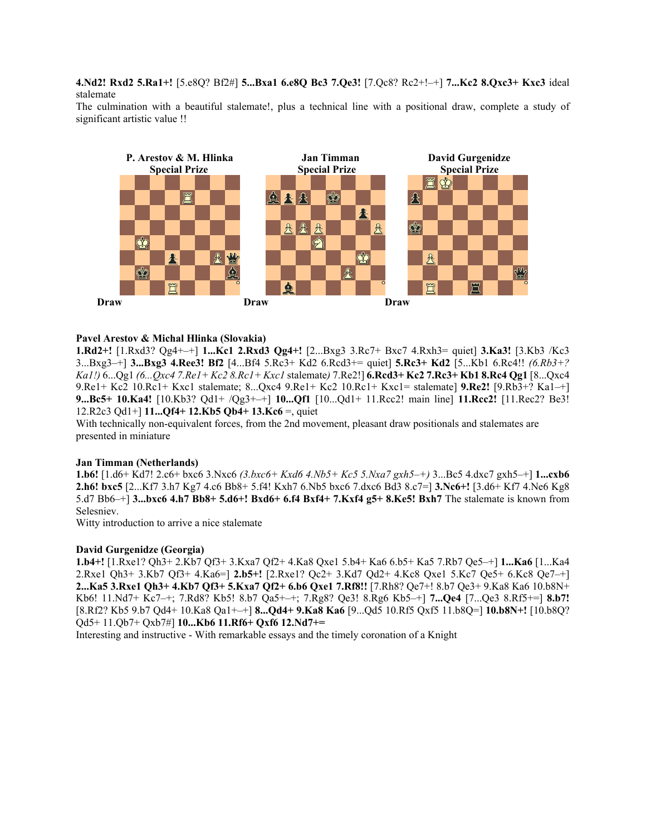**4.Nd2! Rxd2 5.Ra1+!** [5.e8Q? Bf2#] **5...Bxa1 6.e8Q Bc3 7.Qe3!** [7.Qc8? Rc2+!–+] **7...Kc2 8.Qxc3+ Kxc3** ideal stalemate

The culmination with a beautiful stalemate!, plus a technical line with a positional draw, complete a study of significant artistic value !!



### **Pavel Arestov & Michal Hlinka (Slovakia)**

**1.Rd2+!** [1.Rxd3? Qg4+–+] **1...Kc1 2.Rxd3 Qg4+!** [2...Bxg3 3.Rc7+ Bxc7 4.Rxh3= quiet] **3.Ka3!** [3.Kb3 /Kc3 3...Bxg3–+] **3...Bxg3 4.Ree3! Bf2** [4...Bf4 5.Rc3+ Kd2 6.Rcd3+= quiet] **5.Rc3+ Kd2** [5...Kb1 6.Rc4!! *(6.Rb3+? Ka1!)* 6...Qg1 *(6...Qxc4 7.Re1+ Kc2 8.Rc1+ Kxc1* stalemate*)* 7.Re2!] **6.Rcd3+ Kc2 7.Rc3+ Kb1 8.Rc4 Qg1** [8...Qxc4 9.Re1+ Kc2 10.Rc1+ Kxc1 stalemate; 8...Qxc4 9.Re1+ Kc2 10.Rc1+ Kxc1= stalemate] **9.Re2!** [9.Rb3+? Ka1–+] **9...Bc5+ 10.Ka4!** [10.Kb3? Qd1+ /Qg3+–+] **10...Qf1** [10...Qd1+ 11.Rcc2! main line] **11.Rcc2!** [11.Rec2? Be3! 12.R2c3 Qd1+] **11...Qf4+ 12.Kb5 Qb4+ 13.Kc6** =, quiet

With technically non-equivalent forces, from the 2nd movement, pleasant draw positionals and stalemates are presented in miniature

### **Jan Timman (Netherlands)**

**1.b6!** [1.d6+ Kd7! 2.c6+ bxc6 3.Nxc6 *(3.bxc6+ Kxd6 4.Nb5+ Kc5 5.Nxa7 gxh5–+)* 3...Bc5 4.dxc7 gxh5–+] **1...cxb6 2.h6! bxc5** [2...Kf7 3.h7 Kg7 4.c6 Bb8+ 5.f4! Kxh7 6.Nb5 bxc6 7.dxc6 Bd3 8.c7=] **3.Nc6+!** [3.d6+ Kf7 4.Ne6 Kg8 5.d7 Bb6–+] **3...bxc6 4.h7 Bb8+ 5.d6+! Bxd6+ 6.f4 Bxf4+ 7.Kxf4 g5+ 8.Ke5! Bxh7** The stalemate is known from Selesniev.

Witty introduction to arrive a nice stalemate

### **David Gurgenidze (Georgia)**

**1.b4+!** [1.Rxe1? Qh3+ 2.Kb7 Qf3+ 3.Kxa7 Qf2+ 4.Ka8 Qxe1 5.b4+ Ka6 6.b5+ Ka5 7.Rb7 Qe5–+] **1...Ka6** [1...Ka4 2.Rxe1 Qh3+ 3.Kb7 Qf3+ 4.Ka6=] **2.b5+!** [2.Rxe1? Qc2+ 3.Kd7 Qd2+ 4.Kc8 Qxe1 5.Kc7 Qe5+ 6.Kc8 Qe7–+] **2...Ka5 3.Rxe1 Qh3+ 4.Kb7 Qf3+ 5.Kxa7 Qf2+ 6.b6 Qxe1 7.Rf8!!** [7.Rh8? Qe7+! 8.b7 Qe3+ 9.Ka8 Ka6 10.b8N+ Kb6! 11.Nd7+ Kc7–+; 7.Rd8? Kb5! 8.b7 Qa5+–+; 7.Rg8? Qe3! 8.Rg6 Kb5–+] **7...Qe4** [7...Qe3 8.Rf5+=] **8.b7!**  [8.Rf2? Kb5 9.b7 Qd4+ 10.Ka8 Qa1+–+] **8...Qd4+ 9.Ka8 Ka6** [9...Qd5 10.Rf5 Qxf5 11.b8Q=] **10.b8N+!** [10.b8Q? Qd5+ 11.Qb7+ Qxb7#] **10...Kb6 11.Rf6+ Qxf6 12.Nd7+=** 

Interesting and instructive - With remarkable essays and the timely coronation of a Knight